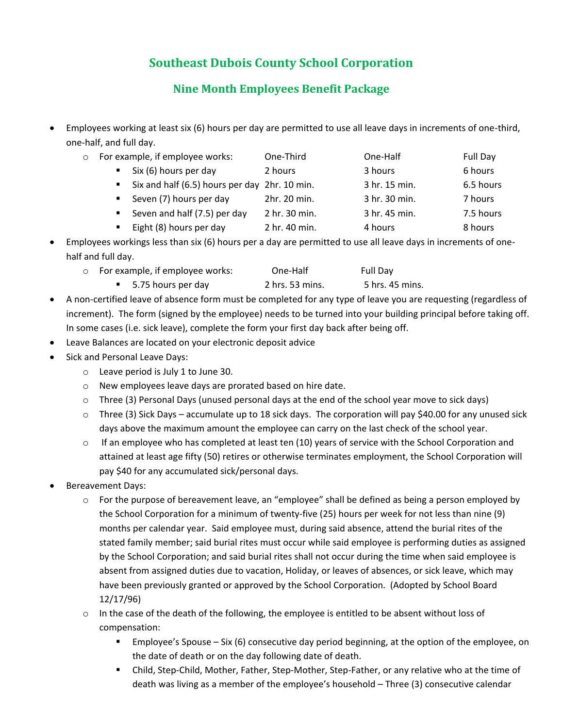## **Southeast Dubois County School Corporation**

## **Nine Month Employees Benefit Package**

• Employees working at least six (6) hours per day are permitted to use all leave days in increments of one-third, one-half, and full day.

| $\circ$ | For example, if employee works: |                                               | One-Third     | One-Half      | Full Day  |
|---------|---------------------------------|-----------------------------------------------|---------------|---------------|-----------|
|         | $\blacksquare$                  | Six (6) hours per day                         | 2 hours       | 3 hours       | 6 hours   |
|         | $\blacksquare$                  | Six and half (6.5) hours per day 2hr. 10 min. |               | 3 hr. 15 min. | 6.5 hours |
|         | $\blacksquare$                  | Seven (7) hours per day                       | 2hr. 20 min.  | 3 hr. 30 min. | 7 hours   |
|         | $\blacksquare$                  | Seven and half (7.5) per day                  | 2 hr. 30 min. | 3 hr. 45 min. | 7.5 hours |
|         |                                 | Eight (8) hours per day                       | 2 hr. 40 min. | 4 hours       | 8 hours   |
|         |                                 |                                               |               |               |           |

- Employees workings less than six (6) hours per a day are permitted to use all leave days in increments of onehalf and full day.
	- o For example, if employee works: One-Half Full Day ■ 5.75 hours per day 2 hrs. 53 mins. 5 hrs. 45 mins.
- A non-certified leave of absence form must be completed for any type of leave you are requesting (regardless of increment). The form (signed by the employee) needs to be turned into your building principal before taking off. In some cases (i.e. sick leave), complete the form your first day back after being off.
- Leave Balances are located on your electronic deposit advice
- Sick and Personal Leave Days:
	- o Leave period is July 1 to June 30.
	- o New employees leave days are prorated based on hire date.
	- $\circ$  Three (3) Personal Days (unused personal days at the end of the school year move to sick days)
	- $\circ$  Three (3) Sick Days accumulate up to 18 sick days. The corporation will pay \$40.00 for any unused sick days above the maximum amount the employee can carry on the last check of the school year.
	- $\circ$  If an employee who has completed at least ten (10) years of service with the School Corporation and attained at least age fifty (50) retires or otherwise terminates employment, the School Corporation will pay \$40 for any accumulated sick/personal days.
- Bereavement Days:
	- $\circ$  For the purpose of bereavement leave, an "employee" shall be defined as being a person employed by the School Corporation for a minimum of twenty-five (25) hours per week for not less than nine (9) months per calendar year. Said employee must, during said absence, attend the burial rites of the stated family member; said burial rites must occur while said employee is performing duties as assigned by the School Corporation; and said burial rites shall not occur during the time when said employee is absent from assigned duties due to vacation, Holiday, or leaves of absences, or sick leave, which may have been previously granted or approved by the School Corporation. (Adopted by School Board 12/17/96)
	- $\circ$  In the case of the death of the following, the employee is entitled to be absent without loss of compensation:
		- Employee's Spouse Six (6) consecutive day period beginning, at the option of the employee, on the date of death or on the day following date of death.
		- Child, Step-Child, Mother, Father, Step-Mother, Step-Father, or any relative who at the time of death was living as a member of the employee's household – Three (3) consecutive calendar